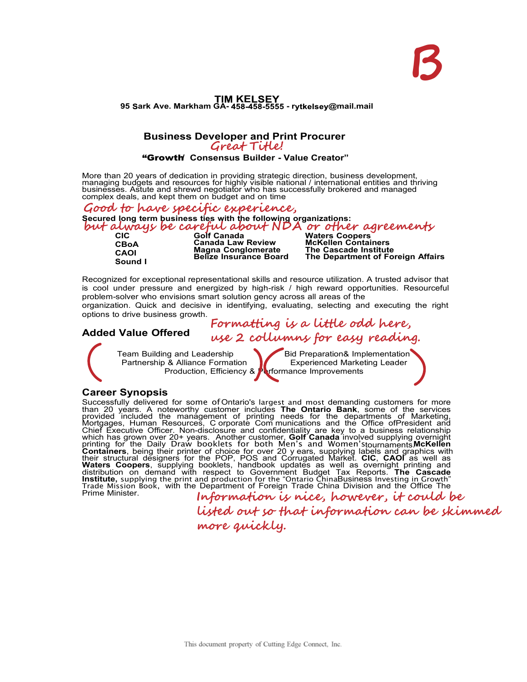# **KE 95 ark Ave. Markham GA- - r @mail.mail**

#### **Business Developer and Print Procurer Great Title!**

#### "Growth **/ Consensus Builder - Value Creator"**

More than 20 years of dedication in providing strategic direction, business development, managing budgets and resources for highly visible national / international entities and thriving<br>businesses. Astute and shrewd negotiator who has successfully brokered and managed complex deals, and kept them on budget and on time.

**Secured long term business ties with the following organizations: Good to have specific experience, but always be careful about NDA or other agreements** 

**CBoA CAOI Sound I** 

**CIC Golf Canada Waters Coopers Canada Law Review Magna Conglomerate Belize Insurance Board**

**McKellen Containers The Cascade Institute The Department of Foreign Affairs**

Recognized for exceptional representational skills and resource utilization. A trusted advisor that is cool under pressure and energized by high-risk / high reward opportunities. Resourceful problem-solver who envisions smart solution gency across all areas of the

organization. Quick and decisive in identifying, evaluating, selecting and executing the right options to drive business growth.

**Formatting is a little odd here, use 2 collumns for easy reading.** 

**Added Value Offered**

Team Building and Leadership Bid Preparation& Implementation<br>
Partnership & Alliance Formation<br>
Experienced Marketing Leader Partnership & Alliance Formation **Fig. 2** Experienced Marketing Leader Production, Efficiency & **Performance Improvements** 

### **Career Synopsis**

Successfully delivered for some of Ontario's largest and most demanding customers for more than 20 years. A noteworthy customer includes **The Ontario Bank**, some of the services provided included the management of printing needs for the departments of Marketing,<br>Mortgages, Human Resources, C orporate Com munications and the Office ofPresident and Chief Executive Officer. Non-disclosure and confidentiality are key to a business relationship which has grown over 20+ years. Another customer, **Golf Canada** involved supplying overnight<br>printing for the Daily Draw bookIets for both Men's and Women'stournaments**McKellen**<br>**Containers**, being their printer their structural designers for the POP, POS and Corrugated Market. **CIC**, **CAOI** as well as **Waters Coopers**, supplying booklets, handbook updates as well as overnight printing and distribution on demand with respect to Government Budget Tax Reports. **The Cascade Institute,** supplying the print and production for the "Ontario ChinaBusiness Investing in Growth"<br><u>T</u>rade Mission Book, with the Department of Foreign Trade China Division and the Office The

Prime Minister. **Information is nice, however, it could be listed out so that information can be skimmed more quickly.**